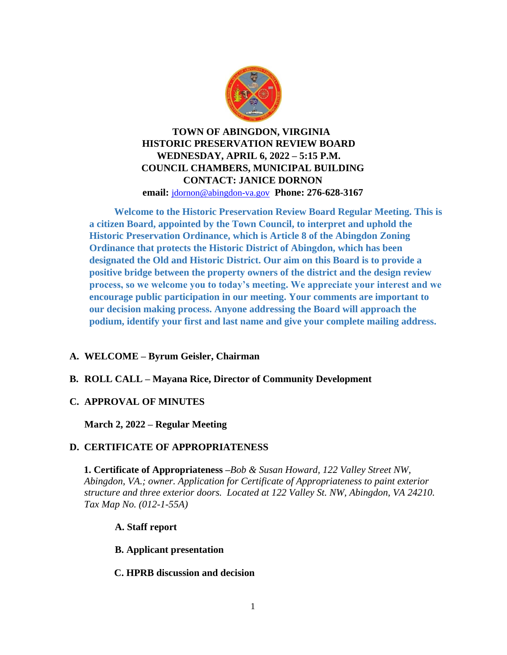

**TOWN OF ABINGDON, VIRGINIA HISTORIC PRESERVATION REVIEW BOARD WEDNESDAY, APRIL 6, 2022 – 5:15 P.M. COUNCIL CHAMBERS, MUNICIPAL BUILDING CONTACT: JANICE DORNON email:** [jdornon@abingdon-va.gov](mailto:jdornon@abingdon-va.gov) **Phone: 276-628-3167**

**Welcome to the Historic Preservation Review Board Regular Meeting. This is a citizen Board, appointed by the Town Council, to interpret and uphold the Historic Preservation Ordinance, which is Article 8 of the Abingdon Zoning Ordinance that protects the Historic District of Abingdon, which has been designated the Old and Historic District. Our aim on this Board is to provide a positive bridge between the property owners of the district and the design review process, so we welcome you to today's meeting. We appreciate your interest and we encourage public participation in our meeting. Your comments are important to our decision making process. Anyone addressing the Board will approach the podium, identify your first and last name and give your complete mailing address.**

## **A. WELCOME – Byrum Geisler, Chairman**

**B. ROLL CALL – Mayana Rice, Director of Community Development** 

## **C. APPROVAL OF MINUTES**

**March 2, 2022 – Regular Meeting** 

### **D. CERTIFICATE OF APPROPRIATENESS**

**1. Certificate of Appropriateness –***Bob & Susan Howard, 122 Valley Street NW, Abingdon, VA.; owner. Application for Certificate of Appropriateness to paint exterior structure and three exterior doors. Located at 122 Valley St. NW, Abingdon, VA 24210. Tax Map No. (012-1-55A)*

#### **A. Staff report**

#### **B. Applicant presentation**

#### **C. HPRB discussion and decision**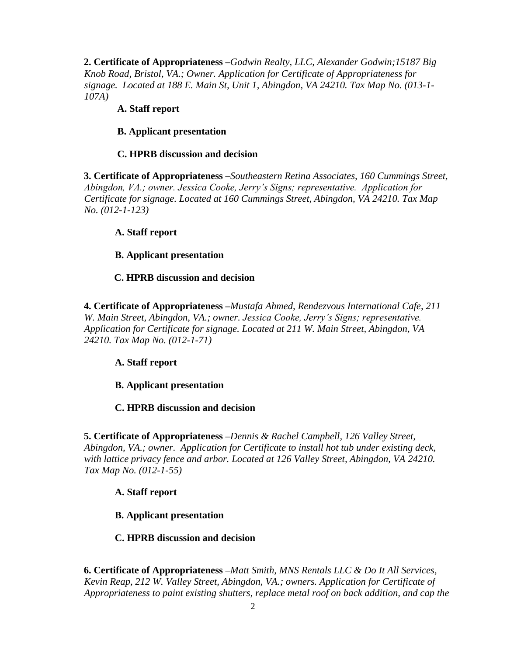**2. Certificate of Appropriateness –***Godwin Realty, LLC, Alexander Godwin;15187 Big Knob Road, Bristol, VA.; Owner. Application for Certificate of Appropriateness for signage. Located at 188 E. Main St, Unit 1, Abingdon, VA 24210. Tax Map No. (013-1- 107A)*

## **A. Staff report**

## **B. Applicant presentation**

## **C. HPRB discussion and decision**

**3. Certificate of Appropriateness –***Southeastern Retina Associates, 160 Cummings Street, Abingdon, VA.; owner. Jessica Cooke, Jerry's Signs; representative. Application for Certificate for signage. Located at 160 Cummings Street, Abingdon, VA 24210. Tax Map No. (012-1-123)*

## **A. Staff report**

## **B. Applicant presentation**

## **C. HPRB discussion and decision**

**4. Certificate of Appropriateness –***Mustafa Ahmed, Rendezvous International Cafe, 211 W. Main Street, Abingdon, VA.; owner. Jessica Cooke, Jerry's Signs; representative. Application for Certificate for signage. Located at 211 W. Main Street, Abingdon, VA 24210. Tax Map No. (012-1-71)*

## **A. Staff report**

## **B. Applicant presentation**

## **C. HPRB discussion and decision**

**5. Certificate of Appropriateness –***Dennis & Rachel Campbell, 126 Valley Street, Abingdon, VA.; owner. Application for Certificate to install hot tub under existing deck, with lattice privacy fence and arbor. Located at 126 Valley Street, Abingdon, VA 24210. Tax Map No. (012-1-55)*

## **A. Staff report**

## **B. Applicant presentation**

## **C. HPRB discussion and decision**

**6. Certificate of Appropriateness –***Matt Smith, MNS Rentals LLC & Do It All Services, Kevin Reap, 212 W. Valley Street, Abingdon, VA.; owners. Application for Certificate of Appropriateness to paint existing shutters, replace metal roof on back addition, and cap the*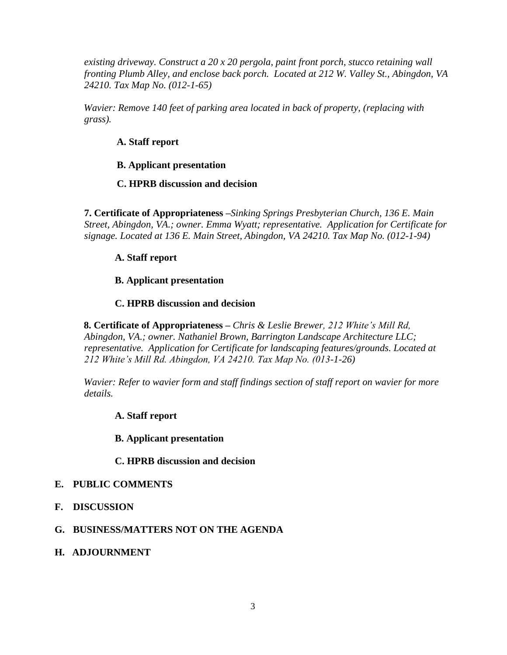*existing driveway. Construct a 20 x 20 pergola, paint front porch, stucco retaining wall fronting Plumb Alley, and enclose back porch. Located at 212 W. Valley St., Abingdon, VA 24210. Tax Map No. (012-1-65)*

*Wavier: Remove 140 feet of parking area located in back of property, (replacing with grass).*

### **A. Staff report**

### **B. Applicant presentation**

### **C. HPRB discussion and decision**

**7. Certificate of Appropriateness –***Sinking Springs Presbyterian Church, 136 E. Main Street, Abingdon, VA.; owner. Emma Wyatt; representative. Application for Certificate for signage. Located at 136 E. Main Street, Abingdon, VA 24210. Tax Map No. (012-1-94)*

#### **A. Staff report**

#### **B. Applicant presentation**

#### **C. HPRB discussion and decision**

**8. Certificate of Appropriateness –** *Chris & Leslie Brewer, 212 White's Mill Rd, Abingdon, VA.; owner. Nathaniel Brown, Barrington Landscape Architecture LLC; representative. Application for Certificate for landscaping features/grounds. Located at 212 White's Mill Rd. Abingdon, VA 24210. Tax Map No. (013-1-26)*

*Wavier: Refer to wavier form and staff findings section of staff report on wavier for more details.*

#### **A. Staff report**

#### **B. Applicant presentation**

## **C. HPRB discussion and decision**

## **E. PUBLIC COMMENTS**

**F. DISCUSSION** 

## **G. BUSINESS/MATTERS NOT ON THE AGENDA**

## **H. ADJOURNMENT**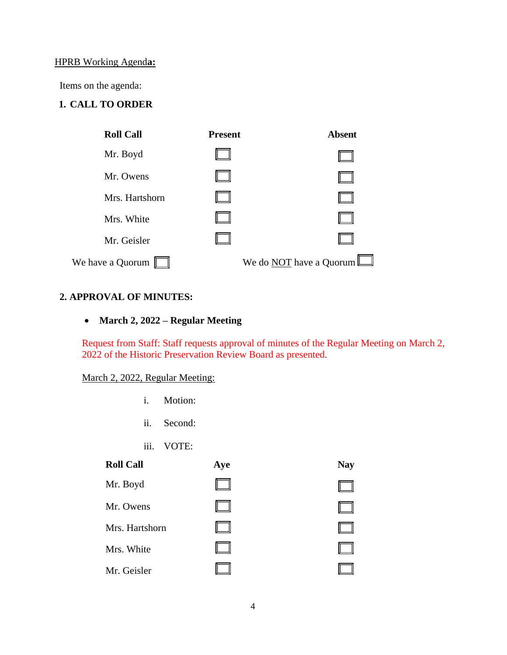#### HPRB Working Agend**a:**

Items on the agenda:

## **1. CALL TO ORDER**



#### **2. APPROVAL OF MINUTES:**

## **March 2, 2022 – Regular Meeting**

Request from Staff: Staff requests approval of minutes of the Regular Meeting on March 2, 2022 of the Historic Preservation Review Board as presented.

#### March 2, 2022, Regular Meeting:

- i. Motion:
- ii. Second:
- iii. VOTE:

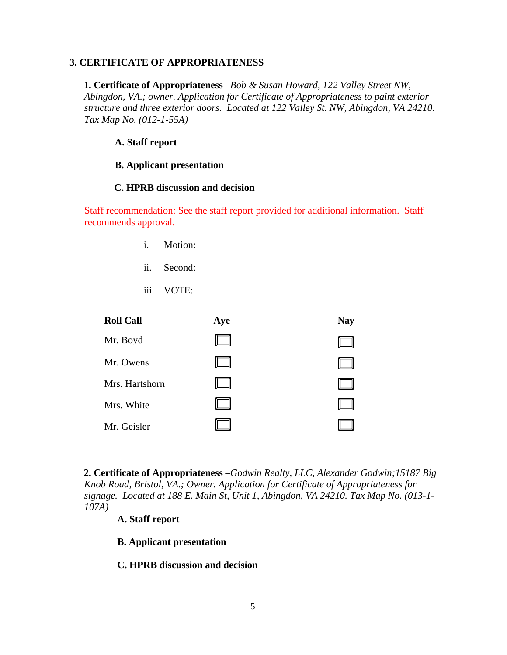### **3. CERTIFICATE OF APPROPRIATENESS**

**1. Certificate of Appropriateness –***Bob & Susan Howard, 122 Valley Street NW, Abingdon, VA.; owner. Application for Certificate of Appropriateness to paint exterior structure and three exterior doors. Located at 122 Valley St. NW, Abingdon, VA 24210. Tax Map No. (012-1-55A)*

### **A. Staff report**

#### **B. Applicant presentation**

#### **C. HPRB discussion and decision**

Staff recommendation: See the staff report provided for additional information. Staff recommends approval.

- i. Motion:
- ii. Second:
- iii. VOTE:

| <b>Roll Call</b> | Aye | <b>Nay</b> |
|------------------|-----|------------|
| Mr. Boyd         |     |            |
| Mr. Owens        |     |            |
| Mrs. Hartshorn   |     |            |
| Mrs. White       |     |            |
| Mr. Geisler      |     |            |

**2. Certificate of Appropriateness –***Godwin Realty, LLC, Alexander Godwin;15187 Big Knob Road, Bristol, VA.; Owner. Application for Certificate of Appropriateness for signage. Located at 188 E. Main St, Unit 1, Abingdon, VA 24210. Tax Map No. (013-1- 107A)*

### **A. Staff report**

- **B. Applicant presentation**
- **C. HPRB discussion and decision**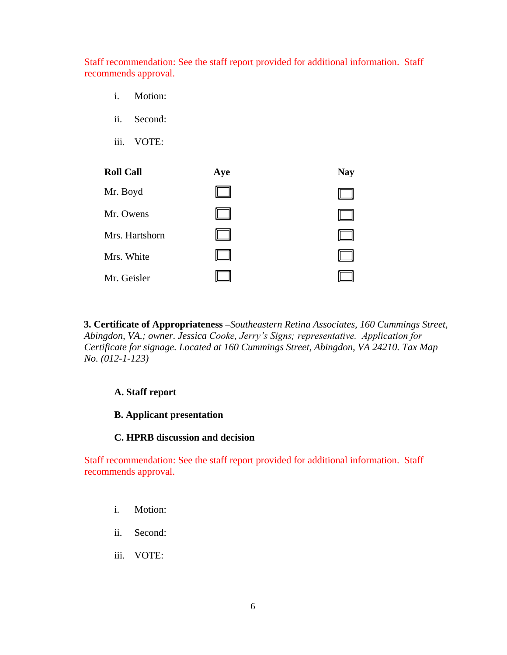Staff recommendation: See the staff report provided for additional information. Staff recommends approval.

- i. Motion:
- ii. Second:
- iii. VOTE:



**3. Certificate of Appropriateness –***Southeastern Retina Associates, 160 Cummings Street, Abingdon, VA.; owner. Jessica Cooke, Jerry's Signs; representative. Application for Certificate for signage. Located at 160 Cummings Street, Abingdon, VA 24210. Tax Map No. (012-1-123)*

#### **A. Staff report**

#### **B. Applicant presentation**

#### **C. HPRB discussion and decision**

Staff recommendation: See the staff report provided for additional information. Staff recommends approval.

- i. Motion:
- ii. Second:
- iii. VOTE: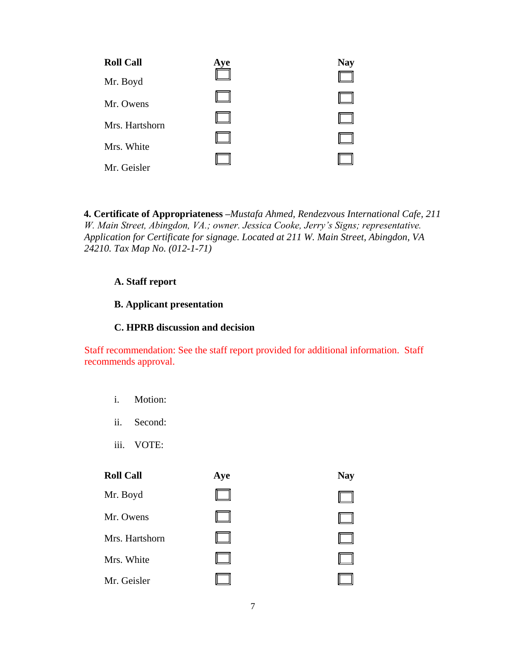

**4. Certificate of Appropriateness –***Mustafa Ahmed, Rendezvous International Cafe, 211 W. Main Street, Abingdon, VA.; owner. Jessica Cooke, Jerry's Signs; representative. Application for Certificate for signage. Located at 211 W. Main Street, Abingdon, VA 24210. Tax Map No. (012-1-71)*

### **A. Staff report**

### **B. Applicant presentation**

## **C. HPRB discussion and decision**

Staff recommendation: See the staff report provided for additional information. Staff recommends approval.

#### i. Motion:

ii. Second:

#### iii. VOTE:

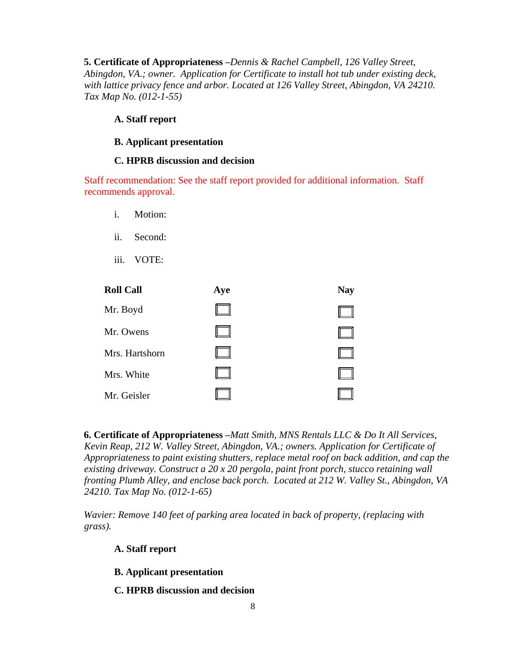**5. Certificate of Appropriateness –***Dennis & Rachel Campbell, 126 Valley Street, Abingdon, VA.; owner. Application for Certificate to install hot tub under existing deck, with lattice privacy fence and arbor. Located at 126 Valley Street, Abingdon, VA 24210. Tax Map No. (012-1-55)*

#### **A. Staff report**

#### **B. Applicant presentation**

#### **C. HPRB discussion and decision**

Staff recommendation: See the staff report provided for additional information. Staff recommends approval.

- i. Motion:
- ii. Second:
- iii. VOTE:

| <b>Roll Call</b> | Aye | <b>Nay</b> |
|------------------|-----|------------|
| Mr. Boyd         |     |            |
| Mr. Owens        |     |            |
| Mrs. Hartshorn   |     |            |
| Mrs. White       |     |            |
| Mr. Geisler      |     |            |

**6. Certificate of Appropriateness –***Matt Smith, MNS Rentals LLC & Do It All Services, Kevin Reap, 212 W. Valley Street, Abingdon, VA.; owners. Application for Certificate of Appropriateness to paint existing shutters, replace metal roof on back addition, and cap the existing driveway. Construct a 20 x 20 pergola, paint front porch, stucco retaining wall fronting Plumb Alley, and enclose back porch. Located at 212 W. Valley St., Abingdon, VA 24210. Tax Map No. (012-1-65)*

*Wavier: Remove 140 feet of parking area located in back of property, (replacing with grass).*

#### **A. Staff report**

- **B. Applicant presentation**
- **C. HPRB discussion and decision**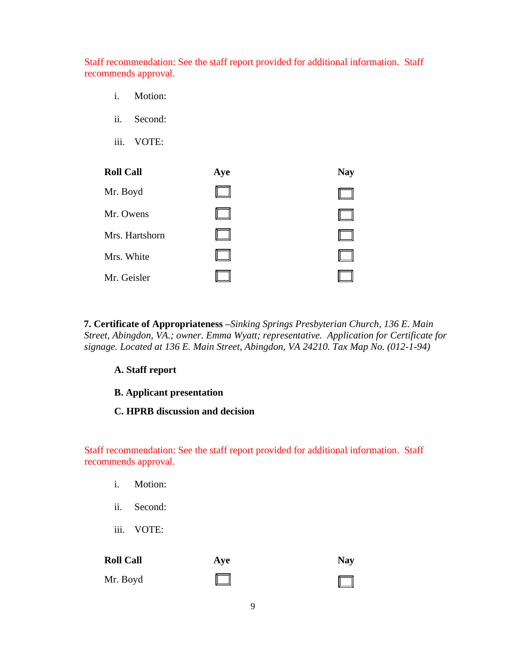Staff recommendation: See the staff report provided for additional information. Staff recommends approval.

- i. Motion:
- ii. Second:
- iii. VOTE:



**7. Certificate of Appropriateness –***Sinking Springs Presbyterian Church, 136 E. Main Street, Abingdon, VA.; owner. Emma Wyatt; representative. Application for Certificate for signage. Located at 136 E. Main Street, Abingdon, VA 24210. Tax Map No. (012-1-94)*

#### **A. Staff report**

#### **B. Applicant presentation**

#### **C. HPRB discussion and decision**

Staff recommendation: See the staff report provided for additional information. Staff recommends approval.

- i. Motion:
- ii. Second:
- iii. VOTE:

**Roll** Call **Aye** Nay **Nay** Mr. Boyd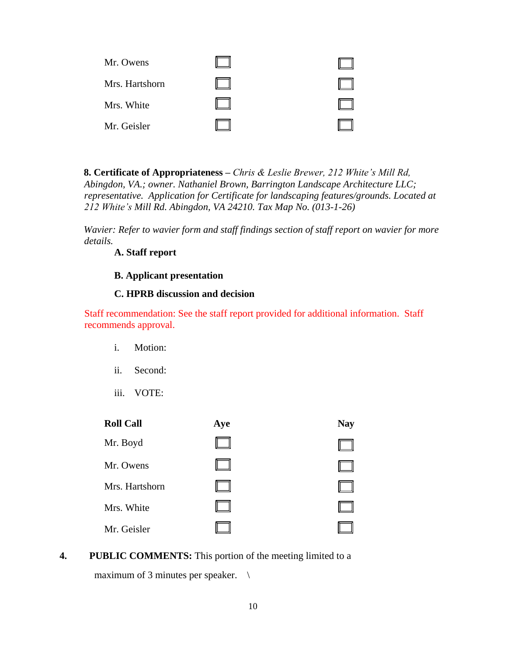| Mr. Owens      |  |
|----------------|--|
| Mrs. Hartshorn |  |
| Mrs. White     |  |
| Mr. Geisler    |  |

**8. Certificate of Appropriateness –** *Chris & Leslie Brewer, 212 White's Mill Rd, Abingdon, VA.; owner. Nathaniel Brown, Barrington Landscape Architecture LLC; representative. Application for Certificate for landscaping features/grounds. Located at 212 White's Mill Rd. Abingdon, VA 24210. Tax Map No. (013-1-26)*

*Wavier: Refer to wavier form and staff findings section of staff report on wavier for more details.*

### **A. Staff report**

### **B. Applicant presentation**

### **C. HPRB discussion and decision**

Staff recommendation: See the staff report provided for additional information. Staff recommends approval.

- i. Motion:
- ii. Second:
- iii. VOTE:

| <b>Roll Call</b> | Aye | <b>Nay</b> |
|------------------|-----|------------|
| Mr. Boyd         |     |            |
| Mr. Owens        |     |            |
| Mrs. Hartshorn   |     |            |
| Mrs. White       |     |            |
| Mr. Geisler      |     |            |

## **4. PUBLIC COMMENTS:** This portion of the meeting limited to a

maximum of 3 minutes per speaker.  $\setminus$